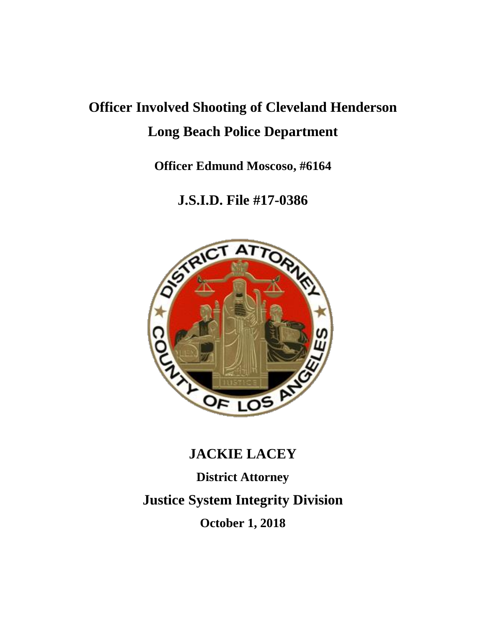# **Officer Involved Shooting of Cleveland Henderson Long Beach Police Department**

**Officer Edmund Moscoso, #6164**

**J.S.I.D. File #17-0386**



# **JACKIE LACEY District Attorney Justice System Integrity Division October 1, 2018**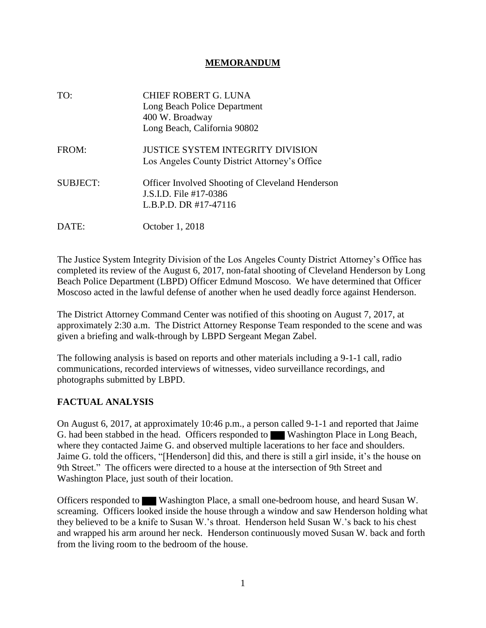#### **MEMORANDUM**

| TO:             | <b>CHIEF ROBERT G. LUNA</b><br>Long Beach Police Department<br>400 W. Broadway<br>Long Beach, California 90802 |
|-----------------|----------------------------------------------------------------------------------------------------------------|
| FROM:           | <b>JUSTICE SYSTEM INTEGRITY DIVISION</b><br>Los Angeles County District Attorney's Office                      |
| <b>SUBJECT:</b> | <b>Officer Involved Shooting of Cleveland Henderson</b><br>J.S.I.D. File #17-0386<br>L.B.P.D. DR #17-47116     |
| DATE:           | October 1, 2018                                                                                                |

The Justice System Integrity Division of the Los Angeles County District Attorney's Office has completed its review of the August 6, 2017, non-fatal shooting of Cleveland Henderson by Long Beach Police Department (LBPD) Officer Edmund Moscoso. We have determined that Officer Moscoso acted in the lawful defense of another when he used deadly force against Henderson.

The District Attorney Command Center was notified of this shooting on August 7, 2017, at approximately 2:30 a.m. The District Attorney Response Team responded to the scene and was given a briefing and walk-through by LBPD Sergeant Megan Zabel.

The following analysis is based on reports and other materials including a 9-1-1 call, radio communications, recorded interviews of witnesses, video surveillance recordings, and photographs submitted by LBPD.

### **FACTUAL ANALYSIS**

On August 6, 2017, at approximately 10:46 p.m., a person called 9-1-1 and reported that Jaime G. had been stabbed in the head. Officers responded to Washington Place in Long Beach, where they contacted Jaime G. and observed multiple lacerations to her face and shoulders. Jaime G. told the officers, "[Henderson] did this, and there is still a girl inside, it's the house on 9th Street." The officers were directed to a house at the intersection of 9th Street and Washington Place, just south of their location.

Officers responded to Washington Place, a small one-bedroom house, and heard Susan W. screaming. Officers looked inside the house through a window and saw Henderson holding what they believed to be a knife to Susan W.'s throat. Henderson held Susan W.'s back to his chest and wrapped his arm around her neck. Henderson continuously moved Susan W. back and forth from the living room to the bedroom of the house.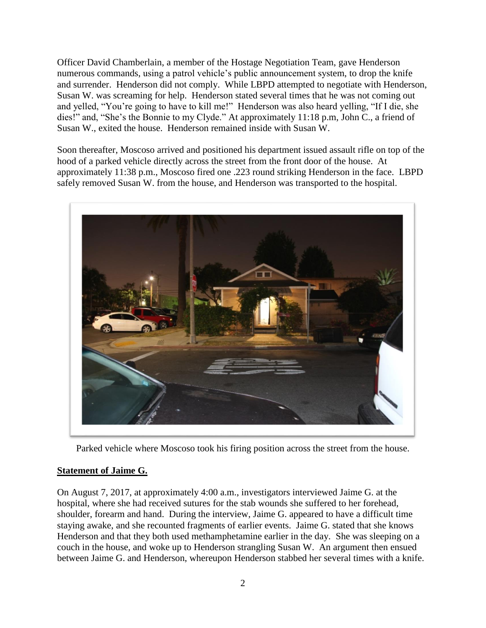Officer David Chamberlain, a member of the Hostage Negotiation Team, gave Henderson numerous commands, using a patrol vehicle's public announcement system, to drop the knife and surrender. Henderson did not comply. While LBPD attempted to negotiate with Henderson, Susan W. was screaming for help. Henderson stated several times that he was not coming out and yelled, "You're going to have to kill me!" Henderson was also heard yelling, "If I die, she dies!" and, "She's the Bonnie to my Clyde." At approximately 11:18 p.m, John C., a friend of Susan W., exited the house. Henderson remained inside with Susan W.

Soon thereafter, Moscoso arrived and positioned his department issued assault rifle on top of the hood of a parked vehicle directly across the street from the front door of the house. At approximately 11:38 p.m., Moscoso fired one .223 round striking Henderson in the face. LBPD safely removed Susan W. from the house, and Henderson was transported to the hospital.



Parked vehicle where Moscoso took his firing position across the street from the house.

### **Statement of Jaime G.**

On August 7, 2017, at approximately 4:00 a.m., investigators interviewed Jaime G. at the hospital, where she had received sutures for the stab wounds she suffered to her forehead, shoulder, forearm and hand. During the interview, Jaime G. appeared to have a difficult time staying awake, and she recounted fragments of earlier events. Jaime G. stated that she knows Henderson and that they both used methamphetamine earlier in the day. She was sleeping on a couch in the house, and woke up to Henderson strangling Susan W. An argument then ensued between Jaime G. and Henderson, whereupon Henderson stabbed her several times with a knife.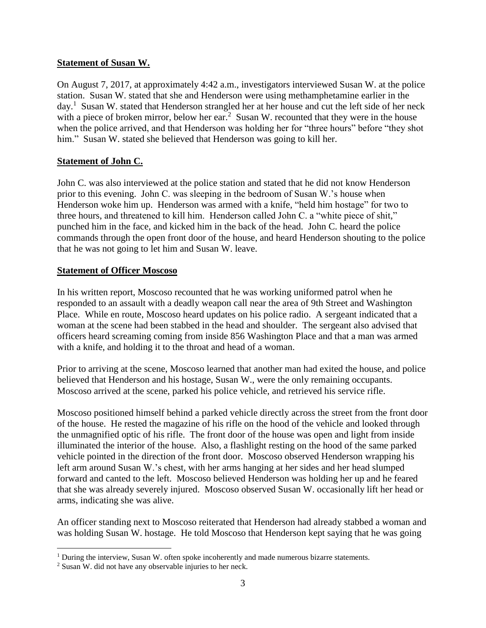#### **Statement of Susan W.**

On August 7, 2017, at approximately 4:42 a.m., investigators interviewed Susan W. at the police station. Susan W. stated that she and Henderson were using methamphetamine earlier in the day.<sup>1</sup> Susan W. stated that Henderson strangled her at her house and cut the left side of her neck with a piece of broken mirror, below her ear.<sup>2</sup> Susan W. recounted that they were in the house when the police arrived, and that Henderson was holding her for "three hours" before "they shot him." Susan W. stated she believed that Henderson was going to kill her.

### **Statement of John C.**

John C. was also interviewed at the police station and stated that he did not know Henderson prior to this evening. John C. was sleeping in the bedroom of Susan W.'s house when Henderson woke him up. Henderson was armed with a knife, "held him hostage" for two to three hours, and threatened to kill him. Henderson called John C. a "white piece of shit," punched him in the face, and kicked him in the back of the head. John C. heard the police commands through the open front door of the house, and heard Henderson shouting to the police that he was not going to let him and Susan W. leave.

#### **Statement of Officer Moscoso**

In his written report, Moscoso recounted that he was working uniformed patrol when he responded to an assault with a deadly weapon call near the area of 9th Street and Washington Place. While en route, Moscoso heard updates on his police radio. A sergeant indicated that a woman at the scene had been stabbed in the head and shoulder. The sergeant also advised that officers heard screaming coming from inside 856 Washington Place and that a man was armed with a knife, and holding it to the throat and head of a woman.

Prior to arriving at the scene, Moscoso learned that another man had exited the house, and police believed that Henderson and his hostage, Susan W., were the only remaining occupants. Moscoso arrived at the scene, parked his police vehicle, and retrieved his service rifle.

Moscoso positioned himself behind a parked vehicle directly across the street from the front door of the house. He rested the magazine of his rifle on the hood of the vehicle and looked through the unmagnified optic of his rifle. The front door of the house was open and light from inside illuminated the interior of the house. Also, a flashlight resting on the hood of the same parked vehicle pointed in the direction of the front door. Moscoso observed Henderson wrapping his left arm around Susan W.'s chest, with her arms hanging at her sides and her head slumped forward and canted to the left. Moscoso believed Henderson was holding her up and he feared that she was already severely injured. Moscoso observed Susan W. occasionally lift her head or arms, indicating she was alive.

An officer standing next to Moscoso reiterated that Henderson had already stabbed a woman and was holding Susan W. hostage. He told Moscoso that Henderson kept saying that he was going

 $\overline{a}$ 

 $1$  During the interview, Susan W. often spoke incoherently and made numerous bizarre statements.

<sup>2</sup> Susan W. did not have any observable injuries to her neck.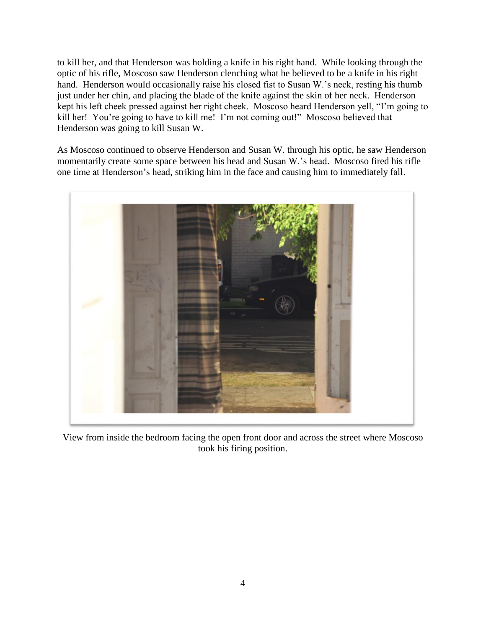to kill her, and that Henderson was holding a knife in his right hand. While looking through the optic of his rifle, Moscoso saw Henderson clenching what he believed to be a knife in his right hand. Henderson would occasionally raise his closed fist to Susan W.'s neck, resting his thumb just under her chin, and placing the blade of the knife against the skin of her neck. Henderson kept his left cheek pressed against her right cheek. Moscoso heard Henderson yell, "I'm going to kill her! You're going to have to kill me! I'm not coming out!" Moscoso believed that Henderson was going to kill Susan W.

As Moscoso continued to observe Henderson and Susan W. through his optic, he saw Henderson momentarily create some space between his head and Susan W.'s head. Moscoso fired his rifle one time at Henderson's head, striking him in the face and causing him to immediately fall.



View from inside the bedroom facing the open front door and across the street where Moscoso took his firing position.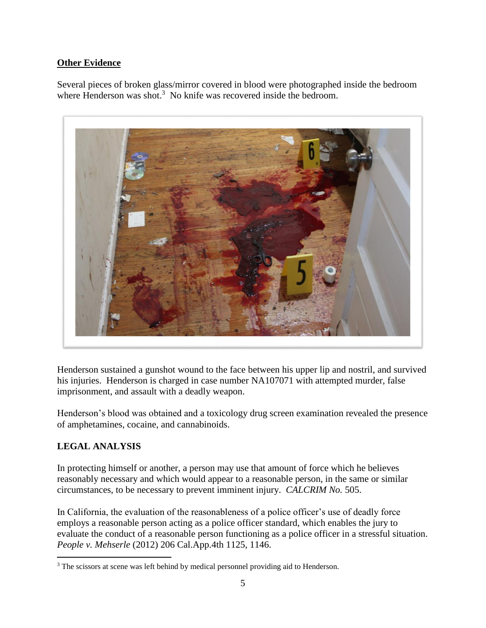## **Other Evidence**

Several pieces of broken glass/mirror covered in blood were photographed inside the bedroom where Henderson was shot.<sup>3</sup> No knife was recovered inside the bedroom.



Henderson sustained a gunshot wound to the face between his upper lip and nostril, and survived his injuries. Henderson is charged in case number NA107071 with attempted murder, false imprisonment, and assault with a deadly weapon.

Henderson's blood was obtained and a toxicology drug screen examination revealed the presence of amphetamines, cocaine, and cannabinoids.

# **LEGAL ANALYSIS**

In protecting himself or another, a person may use that amount of force which he believes reasonably necessary and which would appear to a reasonable person, in the same or similar circumstances, to be necessary to prevent imminent injury. *CALCRIM No.* 505.

In California, the evaluation of the reasonableness of a police officer's use of deadly force employs a reasonable person acting as a police officer standard, which enables the jury to evaluate the conduct of a reasonable person functioning as a police officer in a stressful situation. *People v. Mehserle* (2012) 206 Cal.App.4th 1125, 1146.

 $\overline{a}$ <sup>3</sup> The scissors at scene was left behind by medical personnel providing aid to Henderson.